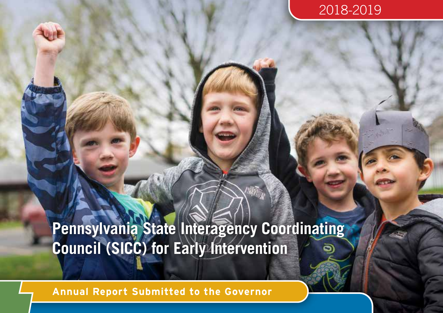## 2018-2019

# **Pennsylvania State Interagency Coordinating Council (SICC) for Early Intervention**

**Annual Report Submitted to the Governor**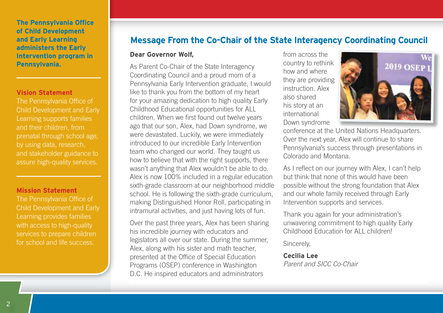#### **The Pennsylvania Office of Child Development and Early Learning administers the Early Intervention program in Pennsylvania.**

#### **Vision Statement**

The Pennsylvania Office of Child Development and Early Learning supports families and their children, from prenatal through school age, by using data, research, and stakeholder guidance to assure high-quality services.

#### **Mission Statement**

The Pennsylvania Office of Child Development and Early Learning provides families with access to high-quality services to prepare children for school and life success.

### **Message From the Co-Chair of the State Interagency Coordinating Council**

#### **Dear Governor Wolf,**

As Parent Co-Chair of the State Interagency Coordinating Council and a proud mom of a Pennsylvania Early Intervention graduate, I would like to thank you from the bottom of my heart for your amazing dedication to high quality Early Childhood Educational opportunities for ALL children. When we first found out twelve years ago that our son, Alex, had Down syndrome, we were devastated. Luckily, we were immediately introduced to our incredible Early Intervention team who changed our world. They taught us how to believe that with the right supports, there wasn't anything that Alex wouldn't be able to do. Alex is now 100% included in a regular education sixth-grade classroom at our neighborhood middle school. He is following the sixth-grade curriculum, making Distinguished Honor Roll, participating in intramural activities, and just having lots of fun.

Over the past three years, Alex has been sharing his incredible journey with educators and legislators all over our state. During the summer, Alex, along with his sister and math teacher, presented at the Office of Special Education Programs (OSEP) conference in Washington D.C. He inspired educators and administrators

from across the country to rethink how and where they are providing instruction. Alex also shared his story at an international Down syndrome



conference at the United Nations Headquarters. Over the next year, Alex will continue to share Pennsylvania's success through presentations in Colorado and Montana.

As I reflect on our journey with Alex, I can't help but think that none of this would have been possible without the strong foundation that Alex and our whole family received through Early Intervention supports and services.

Thank you again for your administration's unwavering commitment to high quality Early Childhood Education for ALL children!

Sincerely,

#### **Cecilia Lee**

*Parent and SICC Co-Chair*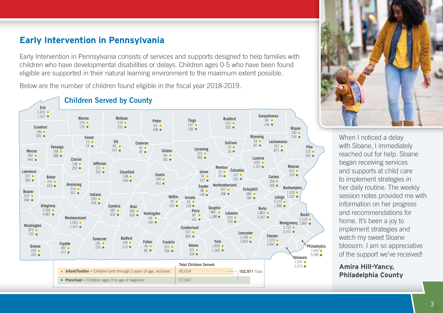## **Early Intervention in Pennsylvania**

Early Intervention in Pennsylvania consists of services and supports designed to help families with children who have developmental disabilities or delays. Children ages 0-5 who have been found eligible are supported in their natural learning environment to the maximum extent possible.

Below are the number of children found eligible in the fiscal year 2018-2019.



#### **Children Served by County**



When I noticed a delay with Sloane, I immediately reached out for help. Sloane began receiving services and supports at child care to implement strategies in her daily routine. The weekly session notes provided me with information on her progress and recommendations for home. It's been a joy to implement strategies and watch my sweet Sloane blossom. I am so appreciative of the support we've received!

**Amira Hill-Yancy, Philadelphia County**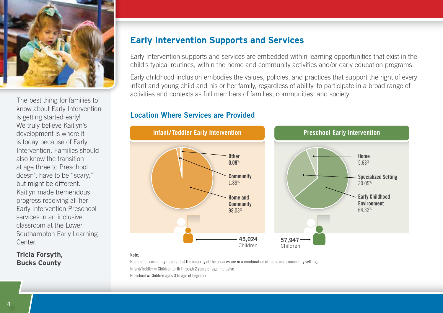

The best thing for families to know about Early Intervention is getting started early! We truly believe Kaitlyn's development is where it is today because of Early Intervention. Families should also know the transition at age three to Preschool doesn't have to be "scary," but might be different. Kaitlyn made tremendous progress receiving all her Early Intervention Preschool services in an inclusive classroom at the Lower Southampton Early Learning Center.

#### **Tricia Forsyth, Bucks County**

## **Early Intervention Supports and Services**

Early Intervention supports and services are embedded within learning opportunities that exist in the child's typical routines, within the home and community activities and/or early education programs.

Early childhood inclusion embodies the values, policies, and practices that support the right of every infant and young child and his or her family, regardless of ability, to participate in a broad range of activities and contexts as full members of families, communities, and society.

#### **Location Where Services are Provided**



#### **Note:**

Home and community means that the majority of the services are in a combination of home and community settings. Infant/Toddler = Children birth through 2 years of age, inclusive  $Preschool = Children ages 3 to age of beginner$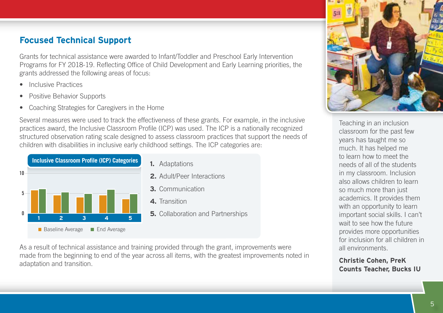## **Focused Technical Support**

Grants for technical assistance were awarded to Infant/Toddler and Preschool Early Intervention Programs for FY 2018-19. Reflecting Office of Child Development and Early Learning priorities, the grants addressed the following areas of focus:

- Inclusive Practices
- Positive Behavior Supports
- Coaching Strategies for Caregivers in the Home

Several measures were used to track the effectiveness of these grants. For example, in the inclusive practices award, the Inclusive Classroom Profile (ICP) was used. The ICP is a nationally recognized structured observation rating scale designed to assess classroom practices that support the needs of children with disabilities in inclusive early childhood settings. The ICP categories are:



As a result of technical assistance and training provided through the grant, improvements were made from the beginning to end of the year across all items, with the greatest improvements noted in adaptation and transition.



Teaching in an inclusion classroom for the past few years has taught me so much. It has helped me to learn how to meet the needs of all of the students in my classroom. Inclusion also allows children to learn so much more than just academics. It provides them with an opportunity to learn important social skills. I can't wait to see how the future provides more opportunities for inclusion for all children in all environments.

**Christie Cohen, PreK Counts Teacher, Bucks IU**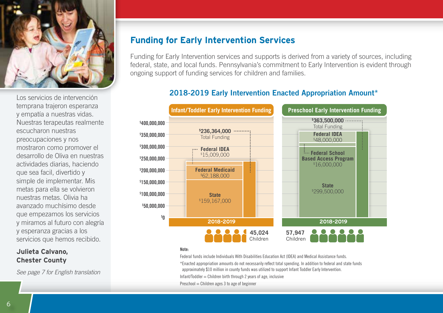

temprana trajeron esperanza y empatía a nuestras vidas. Nuestras terapeutas realmente escucharon nuestras preocupaciones y nos mostraron como promover el desarrollo de Oliva en nuestras actividades diarias, haciendo que sea facil, divertido y simple de implementar. Mis metas para ella se volvieron nuestras metas. Olivia ha avanzado muchísimo desde que empezamos los servicios y miramos al futuro con alegría y esperanza gracias a los servicios que hemos recibido.

#### **Julieta Calvano, Chester County**

*See page 7 for English translation*

## **Funding for Early Intervention Services**

Funding for Early Intervention services and supports is derived from a variety of sources, including federal, state, and local funds. Pennsylvania's commitment to Early Intervention is evident through ongoing support of funding services for children and families.

## **2018-2019 Early Intervention Enacted Appropriation Amount\*** Los servicios de intervención



#### **Note:**

Federal funds include Individuals With Disabilities Education Act (IDEA) and Medical Assistance funds.

\*Enacted appropriation amounts do not necessarily reflect total spending. In addition to federal and state funds approximately \$10 million in county funds was utilized to support Infant Toddler Early Intervention.

Infant/Toddler = Children birth through 2 years of age, inclusive

 $Preschool = Children ages 3 to age of beginner$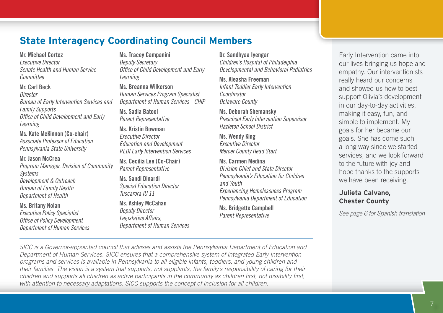## **State Interagency Coordinating Council Members**

#### **Mr. Michael Cortez**

*Executive Director Senate Health and Human Service Committee*

#### **Mr. Carl Beck** *Director Bureau of Early Intervention Services and Family Supports Office of Child Development and Early Learning*

**Ms. Kate McKinnon (Co-chair)** *Associate Professor of Education Pennsylvania State University*

#### **Mr. Jason McCrea**

*Program Manager, Division of Community Systems Development & Outreach Bureau of Family Health Department of Health* 

#### **Ms. Britany Nolan**

*Executive Policy Specialist Office of Policy Development Department of Human Services*

#### **Ms. Tracey Campanini** *Deputy Secretary Office of Child Development and Early Learning*

**Ms. Breanna Wilkerson** *Human Services Program Specialist Department of Human Services - CHIP* 

**Ms. Sadia Batool** *Parent Representative*

**Ms. Kristin Bowman** *Executive Director Education and Development REDI Early Intervention Services*

**Ms. Cecilia Lee (Co-Chair)** *Parent Representative*

**Ms. Sandi Dinardi** *Special Education Director Tuscarora IU 11*

#### **Ms. Ashley McCahan** *Deputy Director Legislative Affairs, Department of Human Services*

#### **Dr. Sandhyaa Iyengar**

*Children's Hospital of Philadelphia Developmental and Behavioral Pediatrics*

**Ms. Aleasha Freeman** *Infant Toddler Early Intervention Coordinator Delaware County* 

**Ms. Deborah Shemansky** *Preschool Early Intervention Supervisor Hazleton School District*

**Ms. Wendy King** *Executive Director Mercer County Head Start*

#### **Ms. Carmen Medina** *Division Chief and State Director Pennsylvania's Education for Children and Youth Experiencing Homelessness Program Pennsylvania Department of Education*

**Ms. Bridgette Campbell** *Parent Representative*

Early Intervention came into our lives bringing us hope and empathy. Our interventionists really heard our concerns and showed us how to best support Olivia's development in our day-to-day activities, making it easy, fun, and simple to implement. My goals for her became our goals. She has come such a long way since we started services, and we look forward to the future with joy and hope thanks to the supports we have been receiving.

#### **Julieta Calvano, Chester County**

*See page 6 for Spanish translation*

*SICC is a Governor-appointed council that advises and assists the Pennsylvania Department of Education and Department of Human Services. SICC ensures that a comprehensive system of integrated Early Intervention programs and services is available in Pennsylvania to all eligible infants, toddlers, and young children and their families. The vision is a system that supports, not supplants, the family's responsibility of caring for their children and supports all children as active participants in the community as children first, not disability first, with attention to necessary adaptations. SICC supports the concept of inclusion for all children.*